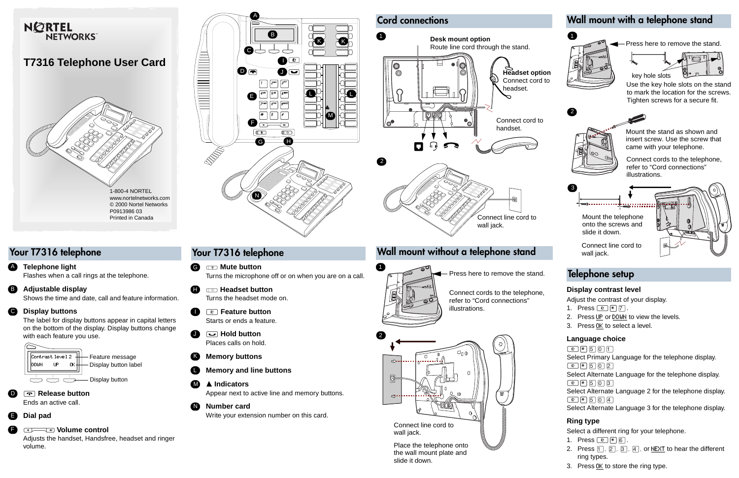# Your T7316 telephone

≤ **Feature button** Starts or ends a feature. $\blacksquare$ 

© **Mute button**Turns the microphone off or on when you are on a call. G

¬ **Headset button**Turns the headset mode on. H

- ≥**Hold button** Places calls on hold.J
- **Memory buttons** K
- **Memory and line buttons**  L
- Ω **Indicators**M

Appear next to active line and memory buttons.

Write your extension number on this card.

**Number card**N



## Your T7316 telephone



## Wall mount without a telephone stand



Connect line cord to wall jack.

Press here to remove the stand.

slide it down.





Connect line cord to wall jack.

Connect cords to the telephone, refer to "Cord connections"

illustrations.

Flashes when a call rings at the telephone.

- 1. Press  $\boxed{\circ}$  \\epsilon \begin{bmatrix} 7.
- 2. Press UP or DOWN to view the levels.
- 3. Press OK to select a level.

Select Primary Language for the telephone display.  $\boxed{\bullet}$   $\boxed{\bullet}$   $\boxed{\bullet}$   $\boxed{5}$   $\boxed{0}$   $\boxed{2}$ 

Select Alternate Language for the telephone display.  $\boxed{\bullet}$   $\boxed{\bullet}$   $\boxed{\bullet}$   $\boxed{\bullet}$   $\boxed{\bullet}$   $\boxed{5}$   $\boxed{0}$   $\boxed{3}$ 

Shows the time and date, call and feature information.

Select Alternate Language 2 for the telephone display.  $\boxed{\bullet}$  $\boxed{\ast}$  $\boxed{5}$  $\boxed{0}$  $\boxed{4}$ 

### **Telephone light** A

The label for display buttons appear in capital letters on the bottom of the display. Display buttons change with each feature you use.

### **Adjustable display** B

#### **Display buttons** C

#### ® **Release button** Ends an active call.

#### √ **Volume control**

Adjusts the handset, Handsfree, headset and ringer volume.

#### **Dial pad** E



D

F

# Wall mount with a telephone stand

**Press here to remove the stand.** 

Mount the telephone onto the screws and slide it down.

1



Mount the stand as shown andinsert screw. Use the screw that came with your telephone.







Use the key hole slots on the stand to mark the location for the screws. Tighten screws for a secure fit.

Connect cords to the telephone, refer to "Cord connections" illustrations.

### **Display contrast level**

Adjust the contrast of your display.

### **Language choice**

 $\boxed{\bullet}$  $\boxed{\ast}$  $\boxed{\ast}$  $\boxed{5}$  $\boxed{0}$  $\boxed{1}$ 

Select Alternate Language 3 for the telephone display.

### **Ring type**

Select a different ring for your telephone.

- 1. Press  $\boxed{\circledcirc}$   $\boxed{\ast}$   $\boxed{6}$ .
- 2. Press  $\begin{bmatrix} 1 & 2 \end{bmatrix}$ ,  $\begin{bmatrix} 3 & 4 \end{bmatrix}$  or NEXT to hear the different ring types.
- 3. Press <u>0K</u> to store the ring type.

## Telephone setup